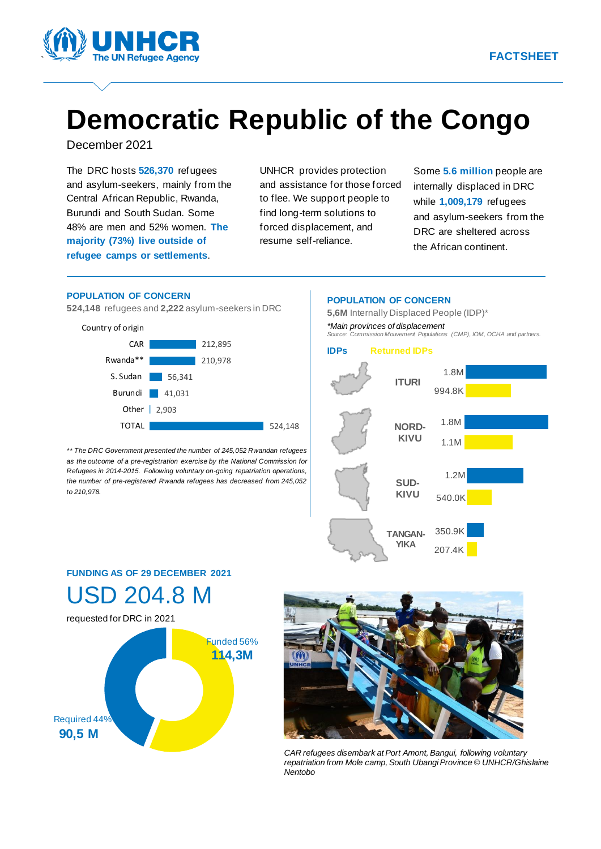

# **Democratic Republic of the Congo**

C December 2021

The DRC hosts **526,370** refugees and asylum-seekers, mainly from the Central African Republic, Rwanda, Burundi and South Sudan. Some 48% are men and 52% women. **The majority (73%) live outside of refugee camps or settlements**.

UNHCR provides protection and assistance for those forced to flee. We support people to find long-term solutions to forced displacement, and resume self-reliance.

Some **5.6 million** people are internally displaced in DRC. while **1,009,179** refugees and asylum-seekers from the DRC are sheltered across the African continent.

#### **POPULATION OF CONCERN**

**524,148** refugees and **2,222** asylum-seekers in DRC



*\*\* The DRC Government presented the number of 245,052 Rwandan refugees as the outcome of a pre-registration exercise by the National Commission for Refugees in 2014-2015. Following voluntary on-going repatriation operations, the number of pre-registered Rwanda refugees has decreased from 245,052 to 210,978.* 



# **FUNDING AS OF 29 DECEMBER 2021**  USD 204.8 M





*CAR refugees disembark at Port Amont, Bangui, following voluntary repatriation from Mole camp, South Ubangi Province © UNHCR/Ghislaine Nentobo*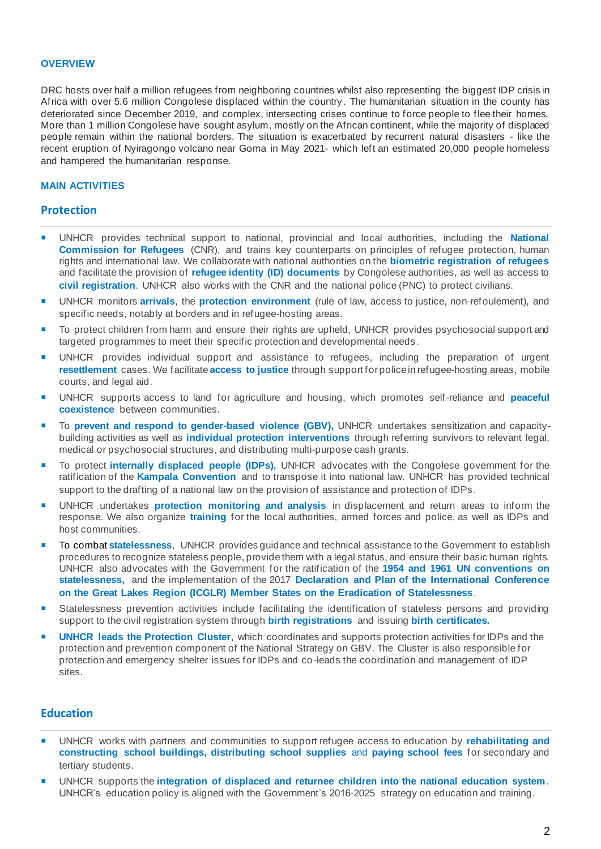#### **OVERVIEW**

DRC hosts over half a million refugees from neighboring countries whilst also representing the biggest IDP crisis in Africa with over 5.6 million Congolese displaced within the country. The humanitarian situation in the county has deteriorated since December 2019, and complex, intersecting crises continue to force people to flee their homes. More than 1 million Congolese have sought asylum, mostly on the African continent, while the majority of displaced people remain within the national borders. The situation is exacerbated by recurrent natural disasters - like the recent eruption of Nyiragongo volcano near Goma in May 2021- which left an estimated 20,000 people homeless and hampered the humanitarian response.

#### **MAIN ACTIVITIES**

#### **Protection**

- UNHCR provides technical support to national, provincial and local authorities, including the **National Commission for Refugees** (CNR), and trains key counterparts on principles of refugee protection, human rights and international law. We collaborate with national authorities on the **biometric registration of refugees** and facilitate the provision of **refugee identity (ID) documents** by Congolese authorities, as well as access to **civil registration**. UNHCR also works with the CNR and the national police (PNC) to protect civilians.
- UNHCR monitors **arrivals**, the **protection environment** (rule of law, access to justice, non-refoulement), and specific needs, notably at borders and in refugee-hosting areas.
- To protect children from harm and ensure their rights are upheld, UNHCR provides psychosocial support and targeted programmes to meet their specific protection and developmental needs .
- UNHCR provides individual support and assistance to refugees, including the preparation of urgent **resettlement** cases. We facilitate **access to justice** through support for police in refugee-hosting areas, mobile courts, and legal aid.
- UNHCR supports access to land for agriculture and housing, which promotes self-reliance and **peaceful coexistence** between communities.
- To **prevent and respond to gender-based violence (GBV),** UNHCR undertakes sensitization and capacitybuilding activities as well as **individual protection interventions** through referring survivors to relevant legal, medical or psychosocial structures, and distributing multi-purpose cash grants.
- To protect **internally displaced people (IDPs),** UNHCR advocates with the Congolese government for the ratification of the **Kampala Convention** and to transpose it into national law. UNHCR has provided technical support to the drafting of a national law on the provision of assistance and protection of IDPs.
- UNHCR undertakes **protection monitoring and analysis** in displacement and return areas to inform the response. We also organize **training** for the local authorities, armed forces and police, as well as IDPs and host communities.
- To combat **statelessness**, UNHCR provides guidance and technical assistance to the Government to establish procedures to recognize stateless people, provide them with a legal status, and ensure their basic human rights. UNHCR also advocates with the Government for the ratification of the **1954 and 1961 UN conventions on statelessness,** and the implementation of the 2017 **Declaration and Plan of the International Conference on the Great Lakes Region (ICGLR) Member States on the Eradication of Statelessness**.
- Statelessness prevention activities include facilitating the identification of stateless persons and providing support to the civil registration system through **birth registrations** and issuing **birth certificates.**
- **UNHCR leads the Protection Cluster**, which coordinates and supports protection activities for IDPs and the protection and prevention component of the National Strategy on GBV. The Cluster is also responsible for protection and emergency shelter issues for IDPs and co-leads the coordination and management of IDP sites.

# **Education**

- UNHCR works with partners and communities to support refugee access to education by **rehabilitating and constructing school buildings, distributing school supplies** and **paying school fees** for secondary and tertiary students.
- UNHCR supports the **integration of displaced and returnee children into the national education system**. UNHCR's education policy is aligned with the Government's 2016-2025 strategy on education and training.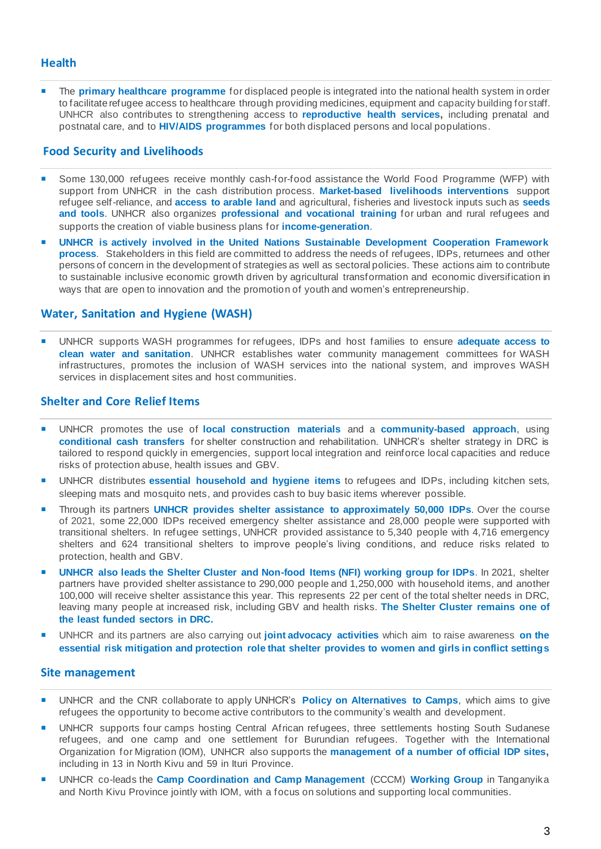# **Health**

 The **primary healthcare programme** for displaced people is integrated into the national health system in order to facilitate refugee access to healthcare through providing medicines, equipment and capacity building for staff. UNHCR also contributes to strengthening access to **reproductive health services,** including prenatal and postnatal care, and to **HIV/AIDS programmes** for both displaced persons and local populations.

# **Food Security and Livelihoods**

- Some 130,000 refugees receive monthly cash-for-food assistance the World Food Programme (WFP) with support from UNHCR in the cash distribution process. **Market-based livelihoods interventions** support refugee self-reliance, and **access to arable land** and agricultural, fisheries and livestock inputs such as **seeds and tools**. UNHCR also organizes **professional and vocational training** for urban and rural refugees and supports the creation of viable business plans for **income-generation**.
- **UNHCR is actively involved in the United Nations Sustainable Development Cooperation Framework process**. Stakeholders in this field are committed to address the needs of refugees, IDPs, returnees and other persons of concern in the development of strategies as well as sectoral policies. These actions aim to contribute to sustainable inclusive economic growth driven by agricultural transformation and economic diversification in ways that are open to innovation and the promotion of youth and women's entrepreneurship.

# **Water, Sanitation and Hygiene (WASH)**

 UNHCR supports WASH programmes for refugees, IDPs and host families to ensure **adequate access to clean water and sanitation**. UNHCR establishes water community management committees for WASH infrastructures, promotes the inclusion of WASH services into the national system, and improves WASH services in displacement sites and host communities.

# **Shelter and Core Relief Items**

- UNHCR promotes the use of **local construction materials** and a **community-based approach**, using **conditional cash transfers** for shelter construction and rehabilitation. UNHCR's shelter strategy in DRC is tailored to respond quickly in emergencies, support local integration and reinforce local capacities and reduce risks of protection abuse, health issues and GBV.
- UNHCR distributes **essential household and hygiene items** to refugees and IDPs, including kitchen sets, sleeping mats and mosquito nets, and provides cash to buy basic items wherever possible.
- Through its partners **UNHCR provides shelter assistance to approximately 50,000 IDPs**. Over the course of 2021, some 22,000 IDPs received emergency shelter assistance and 28,000 people were supported with transitional shelters. In refugee settings, UNHCR provided assistance to 5,340 people with 4,716 emergency shelters and 624 transitional shelters to improve people's living conditions, and reduce risks related to protection, health and GBV.
- **UNHCR also leads the Shelter Cluster and Non-food Items (NFI) working group for IDPs**. In 2021, shelter partners have provided shelter assistance to 290,000 people and 1,250,000 with household items, and another 100,000 will receive shelter assistance this year. This represents 22 per cent of the total shelter needs in DRC, leaving many people at increased risk, including GBV and health risks. **[The Shelter Cluster remains one of](https://www.sheltercluster.org/sites/default/files/docs/20210826_bulletindinformation_abris_ame_s1.pdf)  [the least funded sectors in DRC.](https://www.sheltercluster.org/sites/default/files/docs/20210826_bulletindinformation_abris_ame_s1.pdf)**
- UNHCR and its partners are also carrying out **joint advocacy activities** which aim to raise awareness **on the essential risk mitigation and protection role that shelter provides to women and girls in conflict settings**

#### **Site management**

- UNHCR and the CNR collaborate to apply UNHCR's **Policy on Alternatives to Camps**, which aims to give refugees the opportunity to become active contributors to the community's wealth and development.
- UNHCR supports four camps hosting Central African refugees, three settlements hosting South Sudanese refugees, and one camp and one settlement for Burundian refugees. Together with the International Organization for Migration (IOM), UNHCR also supports the **management of a number of official IDP sites,** including in 13 in North Kivu and 59 in Ituri Province.
- UNHCR co-leads the **Camp Coordination and Camp Management** (CCCM) **Working Group** in Tanganyika and North Kivu Province jointly with IOM, with a focus on solutions and supporting local communities.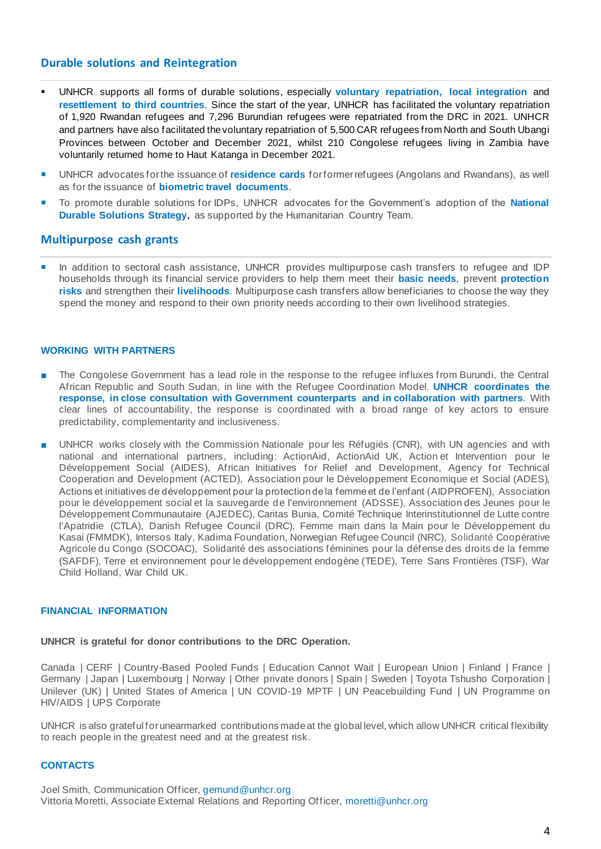# **Durable solutions and Reintegration**

- UNHCR supports all forms of durable solutions, especially **voluntary repatriation, local integration** and **resettlement to third countries**. Since the start of the year, UNHCR has facilitated the voluntary repatriation of 1,920 Rwandan refugees and 7,296 Burundian refugees were repatriated from the DRC in 2021. UNHCR and partners have also facilitated the voluntary repatriation of 5,500 CAR refugees from North and South Ubangi Provinces between October and December 2021, whilst 210 Congolese refugees living in Zambia have voluntarily returned home to Haut Katanga in December 2021.
- UNHCR advocates for the issuance of **residence cards** for former refugees (Angolans and Rwandans), as well as for the issuance of **biometric travel documents**.
- To promote durable solutions for IDPs, UNHCR advocates for the Government's adoption of the **National Durable Solutions Strategy,** as supported by the Humanitarian Country Team.

# **Multipurpose cash grants**

In addition to sectoral cash assistance, UNHCR provides multipurpose cash transfers to refugee and IDP households through its financial service providers to help them meet their **basic needs**, prevent **protection risks** and strengthen their **livelihoods**. Multipurpose cash transfers allow beneficiaries to choose the way they spend the money and respond to their own priority needs according to their own livelihood strategies.

# **WORKING WITH PARTNERS**

- The Congolese Government has a lead role in the response to the refugee influxes from Burundi, the Central African Republic and South Sudan, in line with the Refugee Coordination Model. **UNHCR coordinates the response, in close consultation with Government counterparts and in collaboration with partners**. With clear lines of accountability, the response is coordinated with a broad range of key actors to ensure predictability, complementarity and inclusiveness.
- UNHCR works closely with the Commission Nationale pour les Réfugiés (CNR), with UN agencies and with national and international partners, including: ActionAid, ActionAid UK, Action et Intervention pour le Développement Social (AIDES), African Initiatives for Relief and Development, Agency for Technical Cooperation and Development (ACTED), Association pour le Développement Economique et Social (ADES), Actions et initiatives de développement pour la protection de la femme et de l'enfant (AIDPROFEN), Association pour le développement social et la sauvegarde de l'environnement (ADSSE), Association des Jeunes pour le Développement Communautaire (AJEDEC), Caritas Bunia, Comité Technique Interinstitutionnel de Lutte contre l'Apatridie (CTLA), Danish Refugee Council (DRC), Femme main dans la Main pour le Développement du Kasai (FMMDK), Intersos Italy, Kadima Foundation, Norwegian Refugee Council (NRC), Solidarité Coopérative Agricole du Congo (SOCOAC), Solidarité des associations féminines pour la défense des droits de la femme (SAFDF), Terre et environnement pour le développement endogène (TEDE), Terre Sans Frontières (TSF), War Child Holland, War Child UK.

#### **FINANCIAL INFORMATION**

#### **UNHCR is grateful for donor contributions to the DRC Operation.**

Canada | CERF | Country-Based Pooled Funds | Education Cannot Wait | European Union | Finland | France | Germany | Japan | Luxembourg | Norway | Other private donors | Spain | Sweden | Toyota Tshusho Corporation | Unilever (UK) | United States of America | UN COVID-19 MPTF | UN Peacebuilding Fund | UN Programme on HIV/AIDS | UPS Corporate

UNHCR is also grateful for unearmarked contributions made at the global level, which allow UNHCR critical flexibility to reach people in the greatest need and at the greatest risk.

#### **CONTACTS**